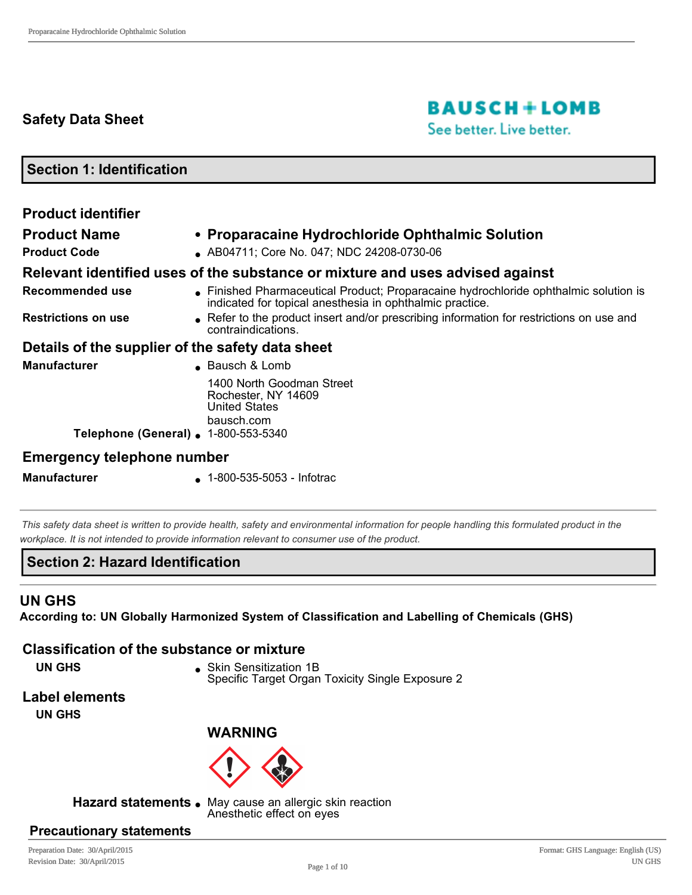# **Safety Data Sheet**

# **BAUSCH+LOMB**

See better. Live better.

**Section 1: Identification**

| <b>Product identifier</b>                        |                                                                                                                                                |
|--------------------------------------------------|------------------------------------------------------------------------------------------------------------------------------------------------|
| <b>Product Name</b>                              | • Proparacaine Hydrochloride Ophthalmic Solution                                                                                               |
| <b>Product Code</b>                              | AB04711; Core No. 047; NDC 24208-0730-06                                                                                                       |
|                                                  | Relevant identified uses of the substance or mixture and uses advised against                                                                  |
| <b>Recommended use</b>                           | Finished Pharmaceutical Product; Proparacaine hydrochloride ophthalmic solution is<br>indicated for topical anesthesia in ophthalmic practice. |
| <b>Restrictions on use</b>                       | • Refer to the product insert and/or prescribing information for restrictions on use and<br>contraindications.                                 |
| Details of the supplier of the safety data sheet |                                                                                                                                                |
| <b>Manufacturer</b>                              | • Bausch & Lomb                                                                                                                                |
| Telephone (General) . 1-800-553-5340             | 1400 North Goodman Street<br>Rochester, NY 14609<br><b>United States</b><br>bausch.com                                                         |
| Emargancy talanhana nymhar                       |                                                                                                                                                |

## **Emergency telephone number**

**Manufacturer a** 1-800-535-5053 - Infotrac

*This safety data sheet is written to provide health, safety and environmental information for people handling this formulated product in the workplace. It is not intended to provide information relevant to consumer use of the product.*

## **Section 2: Hazard Identification**

## **UN GHS**

**According to: UN Globally Harmonized System of Classification and Labelling of Chemicals (GHS)**

## **Classification of the substance or mixture**

**UN GHS s** Skin Sensitization 1B Specific Target Organ Toxicity Single Exposure 2

## **Label elements**

**UN GHS**

## **WARNING**



Hazard statements . May cause an allergic skin reaction

Anesthetic effect on eyes

## **Precautionary statements**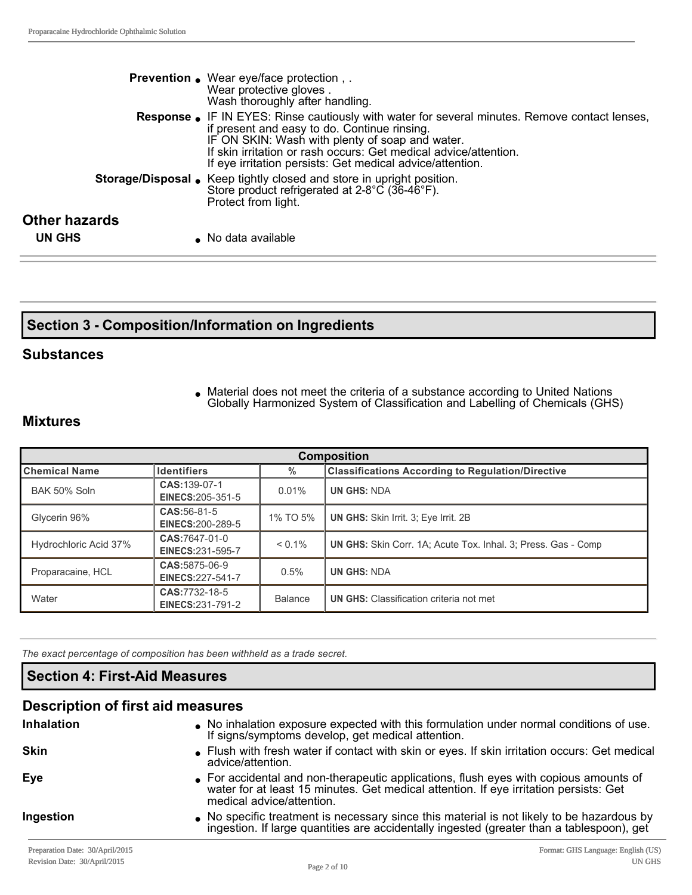|                      | <b>Prevention.</b> Wear eye/face protection,.<br>Wear protective gloves.<br>Wash thoroughly after handling.                                                                                                                                                                                                                              |
|----------------------|------------------------------------------------------------------------------------------------------------------------------------------------------------------------------------------------------------------------------------------------------------------------------------------------------------------------------------------|
|                      | <b>Response.</b> IF IN EYES: Rinse cautiously with water for several minutes. Remove contact lenses,<br>if present and easy to do. Continue rinsing.<br>IF ON SKIN: Wash with plenty of soap and water.<br>If skin irritation or rash occurs: Get medical advice/attention.<br>If eye irritation persists: Get medical advice/attention. |
|                      | Storage/Disposal • Keep tightly closed and store in upright position.<br>Store product refrigerated at 2-8°C (36-46°F).<br>Protect from light.                                                                                                                                                                                           |
| <b>Other hazards</b> |                                                                                                                                                                                                                                                                                                                                          |
| UN GHS               | No data available                                                                                                                                                                                                                                                                                                                        |

## **Section 3 Composition/Information on Ingredients**

#### **Substances**

• Material does not meet the criteria of a substance according to United Nations Globally Harmonized System of Classification and Labelling of Chemicals (GHS)

#### **Mixtures**

| <b>Composition</b>    |                                          |                |                                                                      |
|-----------------------|------------------------------------------|----------------|----------------------------------------------------------------------|
| ∥Chemical Name        | <b>Identifiers</b>                       | $\%$           | <b>Classifications According to Regulation/Directive</b>             |
| BAK 50% Soln          | CAS: 139-07-1<br>EINECS: 205-351-5       | 0.01%          | <b>UN GHS: NDA</b>                                                   |
| Glycerin 96%          | CAS: 56-81-5<br><b>EINECS:200-289-5</b>  | 1% TO 5%       | <b>UN GHS:</b> Skin Irrit. 3: Eye Irrit. 2B                          |
| Hydrochloric Acid 37% | CAS:7647-01-0<br><b>EINECS:231-595-7</b> | $< 0.1\%$      | <b>UN GHS:</b> Skin Corr. 1A: Acute Tox. Inhal. 3: Press. Gas - Comp |
| Proparacaine, HCL     | CAS: 5875-06-9<br>EINECS: 227-541-7      | 0.5%           | <b>UN GHS: NDA</b>                                                   |
| Water                 | CAS: 7732-18-5<br>EINECS:231-791-2       | <b>Balance</b> | <b>UN GHS:</b> Classification criteria not met                       |

*The exact percentage of composition has been withheld as a trade secret.*

## **Section 4: First-Aid Measures**

# **Description of first aid measures**

| <b>Inhalation</b> | . No inhalation exposure expected with this formulation under normal conditions of use.<br>If signs/symptoms develop, get medical attention.                                                                |
|-------------------|-------------------------------------------------------------------------------------------------------------------------------------------------------------------------------------------------------------|
| <b>Skin</b>       | • Flush with fresh water if contact with skin or eyes. If skin irritation occurs: Get medical<br>advice/attention.                                                                                          |
| Eye               | • For accidental and non-therapeutic applications, flush eyes with copious amounts of<br>water for at least 15 minutes. Get medical attention. If eye irritation persists: Get<br>medical advice/attention. |
| Ingestion         | • No specific treatment is necessary since this material is not likely to be hazardous by<br>ingestion. If large quantities are accidentally ingested (greater than a tablespoon), get                      |
|                   |                                                                                                                                                                                                             |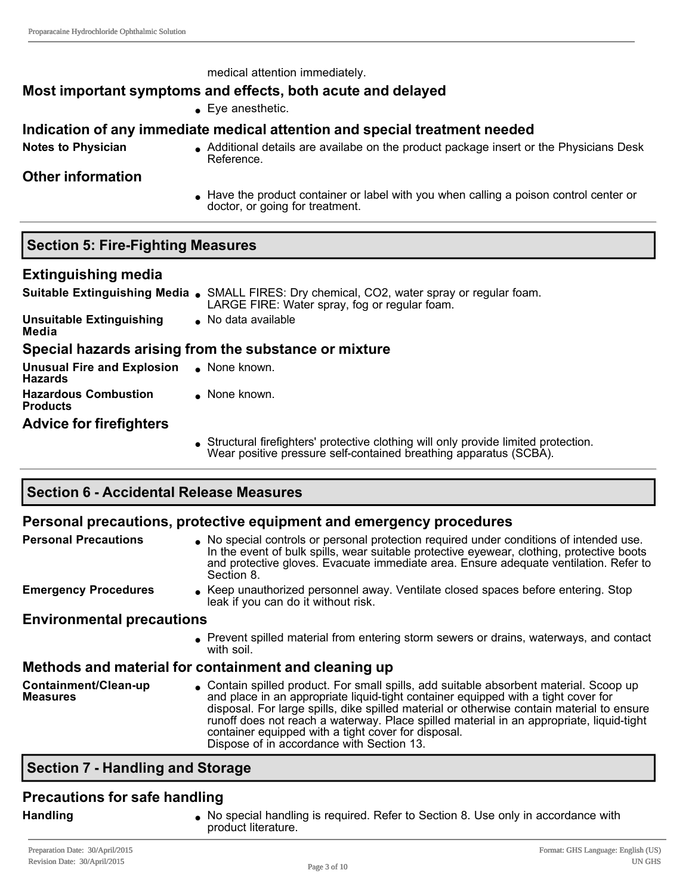medical attention immediately.

#### **Most important symptoms and effects, both acute and delayed**

#### $\bullet$  Eye anesthetic.

#### **Indication of any immediate medical attention and special treatment needed**

Notes to Physician **Interpret on Additional details are availabe on the product package insert or the Physicians Desk** Reference.

#### **Other information**

Have the product container or label with you when calling a poison control center or doctor, or going for treatment.

## **Section 5: Fire-Fighting Measures**

#### **Extinguishing media**

|                                                            | <b>Suitable Extinguishing Media .</b> SMALL FIRES: Dry chemical, CO2, water spray or regular foam.<br>LARGE FIRE: Water spray, fog or regular foam. |
|------------------------------------------------------------|-----------------------------------------------------------------------------------------------------------------------------------------------------|
| <b>Unsuitable Extinguishing</b><br>Media                   | • No data available                                                                                                                                 |
|                                                            | Special hazards arising from the substance or mixture                                                                                               |
| Unusual Fire and Explosion . None known.<br><b>Hazards</b> |                                                                                                                                                     |
| <b>Hazardous Combustion</b><br><b>Products</b>             | $\bullet$ None known.                                                                                                                               |
| <b>Advice for firefighters</b>                             |                                                                                                                                                     |
|                                                            | Structural firefighters' protective clothing will only provide limited protection.                                                                  |

Wear positive pressure self-contained breathing apparatus (SCBA).

## **Section 6 Accidental Release Measures**

#### **Personal precautions, protective equipment and emergency procedures**

| <b>Personal Precautions</b>             | No special controls or personal protection required under conditions of intended use.<br>In the event of bulk spills, wear suitable protective eyewear, clothing, protective boots<br>and protective gloves. Evacuate immediate area. Ensure adequate ventilation. Refer to<br>Section 8.                                                                                                                                                                                 |
|-----------------------------------------|---------------------------------------------------------------------------------------------------------------------------------------------------------------------------------------------------------------------------------------------------------------------------------------------------------------------------------------------------------------------------------------------------------------------------------------------------------------------------|
| <b>Emergency Procedures</b>             | Keep unauthorized personnel away. Ventilate closed spaces before entering. Stop<br>leak if you can do it without risk.                                                                                                                                                                                                                                                                                                                                                    |
| <b>Environmental precautions</b>        |                                                                                                                                                                                                                                                                                                                                                                                                                                                                           |
|                                         | • Prevent spilled material from entering storm sewers or drains, waterways, and contact<br>with soil.                                                                                                                                                                                                                                                                                                                                                                     |
|                                         | Methods and material for containment and cleaning up                                                                                                                                                                                                                                                                                                                                                                                                                      |
| Containment/Clean-up<br><b>Measures</b> | • Contain spilled product. For small spills, add suitable absorbent material. Scoop up<br>and place in an appropriate liquid-tight container equipped with a tight cover for<br>disposal. For large spills, dike spilled material or otherwise contain material to ensure<br>runoff does not reach a waterway. Place spilled material in an appropriate, liquid-tight<br>container equipped with a tight cover for disposal.<br>Dispose of in accordance with Section 13. |

## **Section 7 Handling and Storage**

## **Precautions for safe handling**

**Handling landling local No special handling is required. Refer to Section 8. Use only in accordance with** product literature.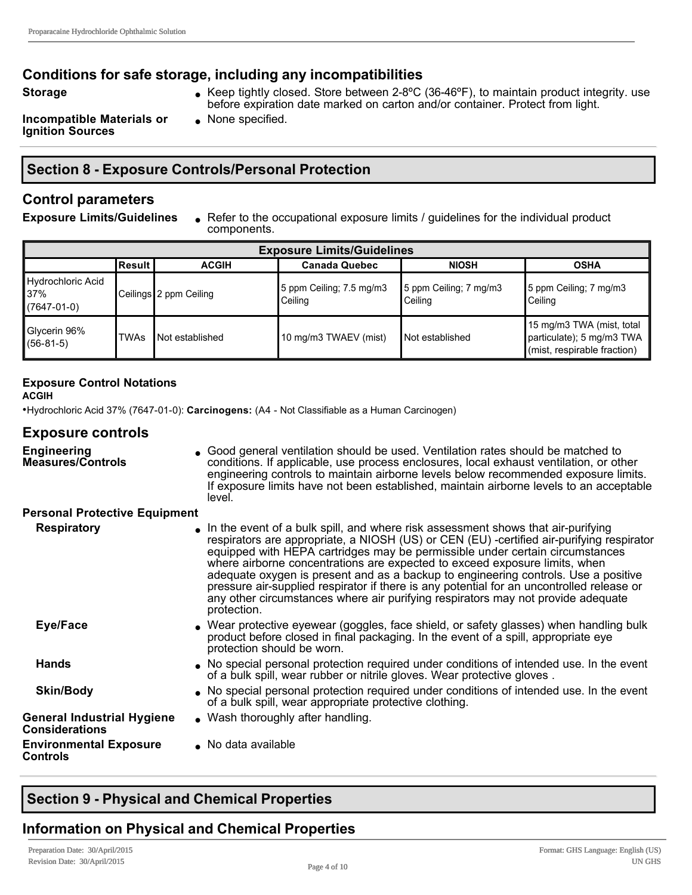## **Conditions for safe storage, including any incompatibilities**

- 
- **Storage late in Cheep Store between 2-8°C (36-46°F), to maintain product integrity. use** before expiration date marked on carton and/or container. Protect from light.

**Incompatible Materials or Ignition Sources**

 $\bullet$  None specified.

## **Section 8 Exposure Controls/Personal Protection**

## **Control parameters**

**Exposure Limits/Guidelines** <br>Refer to the occupational exposure limits / guidelines for the individual product components.

| <b>Exposure Limits/Guidelines</b>         |             |                        |                                     |                                   |                                                                                       |
|-------------------------------------------|-------------|------------------------|-------------------------------------|-----------------------------------|---------------------------------------------------------------------------------------|
|                                           | lResult l   | <b>ACGIH</b>           | <b>Canada Quebec</b>                | <b>NIOSH</b>                      | <b>OSHA</b>                                                                           |
| Hydrochloric Acid<br>37%<br>$(7647-01-0)$ |             | Ceilings 2 ppm Ceiling | 5 ppm Ceiling; 7.5 mg/m3<br>Ceiling | 5 ppm Ceiling; 7 mg/m3<br>Ceiling | 5 ppm Ceiling; 7 mg/m3<br>Ceiling                                                     |
| Glycerin 96%<br>$(56-81-5)$               | <b>TWAs</b> | Not established        | 10 mg/m3 TWAEV (mist)               | <b>Not established</b>            | 15 mg/m3 TWA (mist, total<br>particulate); 5 mg/m3 TWA<br>(mist, respirable fraction) |

#### **Exposure Control Notations**

**ACGIH**

•Hydrochloric Acid 37% (7647010): **Carcinogens:** (A4 Not Classifiable as a Human Carcinogen)

#### **Exposure controls**

| <b>Engineering</b><br><b>Measures/Controls</b>             | • Good general ventilation should be used. Ventilation rates should be matched to<br>conditions. If applicable, use process enclosures, local exhaust ventilation, or other<br>engineering controls to maintain airborne levels below recommended exposure limits.<br>If exposure limits have not been established, maintain airborne levels to an acceptable<br>level.                                                                                                                                                                                                                                                           |
|------------------------------------------------------------|-----------------------------------------------------------------------------------------------------------------------------------------------------------------------------------------------------------------------------------------------------------------------------------------------------------------------------------------------------------------------------------------------------------------------------------------------------------------------------------------------------------------------------------------------------------------------------------------------------------------------------------|
| <b>Personal Protective Equipment</b>                       |                                                                                                                                                                                                                                                                                                                                                                                                                                                                                                                                                                                                                                   |
| <b>Respiratory</b>                                         | In the event of a bulk spill, and where risk assessment shows that air-purifying<br>respirators are appropriate, a NIOSH (US) or CEN (EU) -certified air-purifying respirator<br>equipped with HEPA cartridges may be permissible under certain circumstances<br>where airborne concentrations are expected to exceed exposure limits, when<br>adequate oxygen is present and as a backup to engineering controls. Use a positive<br>pressure air-supplied respirator if there is any potential for an uncontrolled release or<br>any other circumstances where air purifying respirators may not provide adequate<br>protection. |
| Eye/Face                                                   | • Wear protective eyewear (goggles, face shield, or safety glasses) when handling bulk<br>product before closed in final packaging. In the event of a spill, appropriate eye<br>protection should be worn.                                                                                                                                                                                                                                                                                                                                                                                                                        |
| <b>Hands</b>                                               | • No special personal protection required under conditions of intended use. In the event<br>of a bulk spill, wear rubber or nitrile gloves. Wear protective gloves.                                                                                                                                                                                                                                                                                                                                                                                                                                                               |
| <b>Skin/Body</b>                                           | • No special personal protection required under conditions of intended use. In the event<br>of a bulk spill, wear appropriate protective clothing.                                                                                                                                                                                                                                                                                                                                                                                                                                                                                |
| <b>General Industrial Hygiene</b><br><b>Considerations</b> | • Wash thoroughly after handling.                                                                                                                                                                                                                                                                                                                                                                                                                                                                                                                                                                                                 |
| <b>Environmental Exposure</b><br>Controls                  | No data available                                                                                                                                                                                                                                                                                                                                                                                                                                                                                                                                                                                                                 |

# **Section 9 Physical and Chemical Properties**

## **Information on Physical and Chemical Properties**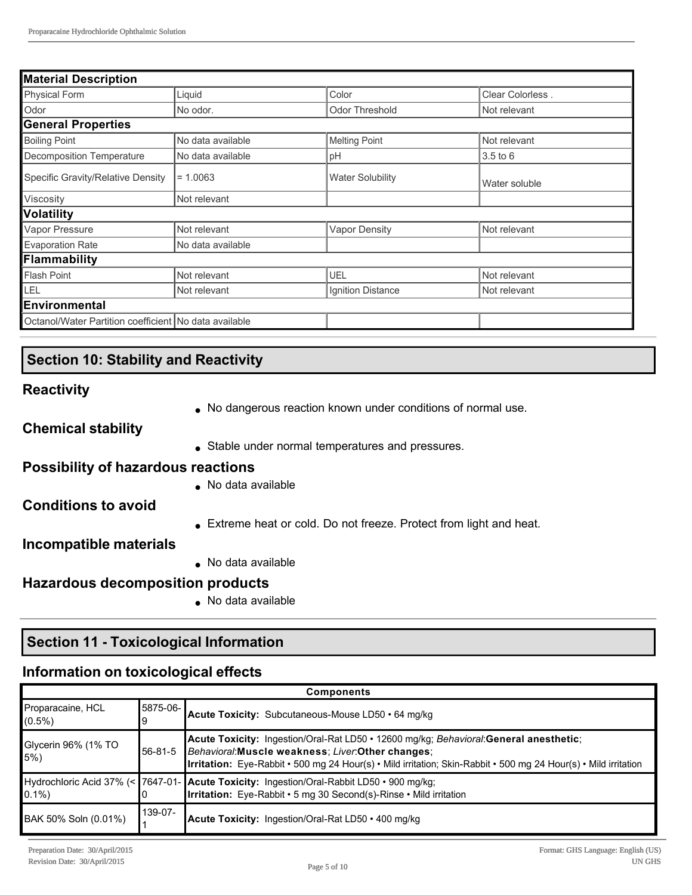| <b>Material Description</b>                           |                   |                         |                  |
|-------------------------------------------------------|-------------------|-------------------------|------------------|
| <b>Physical Form</b>                                  | Liquid            | Color                   | Clear Colorless. |
| Odor                                                  | No odor.          | <b>Odor Threshold</b>   | Not relevant     |
| <b>General Properties</b>                             |                   |                         |                  |
| <b>Boiling Point</b>                                  | No data available | Melting Point           | Not relevant     |
| <b>Decomposition Temperature</b>                      | No data available | рH                      | $3.5$ to $6$     |
| Specific Gravity/Relative Density                     | $= 1.0063$        | <b>Water Solubility</b> | Water soluble    |
| Viscosity                                             | Not relevant      |                         |                  |
| <b>Volatility</b>                                     |                   |                         |                  |
| Vapor Pressure                                        | Not relevant      | <b>Vapor Density</b>    | Not relevant     |
| <b>Evaporation Rate</b>                               | No data available |                         |                  |
| Flammability                                          |                   |                         |                  |
| <b>Flash Point</b>                                    | Not relevant      | UEL                     | Not relevant     |
| LEL                                                   | Not relevant      | Ignition Distance       | Not relevant     |
| <b>Environmental</b>                                  |                   |                         |                  |
| Octanol/Water Partition coefficient No data available |                   |                         |                  |

## **Section 10: Stability and Reactivity**

#### **Reactivity**

• No dangerous reaction known under conditions of normal use.

**Chemical stability**

• Stable under normal temperatures and pressures.

## **Possibility of hazardous reactions**

 $\bullet$  No data available

## **Conditions to avoid**

• Extreme heat or cold. Do not freeze. Protect from light and heat.

#### **Incompatible materials**

 $\bullet$  No data available

## **Hazardous decomposition products**

 $\bullet$  No data available

# **Section 11 Toxicological Information**

## **Information on toxicological effects**

| <b>Components</b>              |          |                                                                                                                                                                                                                                                                 |
|--------------------------------|----------|-----------------------------------------------------------------------------------------------------------------------------------------------------------------------------------------------------------------------------------------------------------------|
| Proparacaine, HCL<br>$(0.5\%)$ | 5875-06- | Acute Toxicity: Subcutaneous-Mouse LD50 · 64 mg/kg                                                                                                                                                                                                              |
| Glycerin 96% (1% TO<br>$5\%)$  | 56-81-5  | Acute Toxicity: Ingestion/Oral-Rat LD50 • 12600 mg/kg; Behavioral: General anesthetic;<br>Behavioral: Muscle weakness; Liver: Other changes;<br>Irritation: Eye-Rabbit • 500 mg 24 Hour(s) • Mild irritation; Skin-Rabbit • 500 mg 24 Hour(s) • Mild irritation |
|                                |          | Hydrochloric Acid 37% (< 7647-01- Acute Toxicity: Ingestion/Oral-Rabbit LD50 • 900 mg/kg;<br>0.1%) 0.1%                                                                                                                                                         |
| BAK 50% Soln (0.01%)           | 139-07-  | <b>Acute Toxicity:</b> Ingestion/Oral-Rat LD50 • 400 mg/kg                                                                                                                                                                                                      |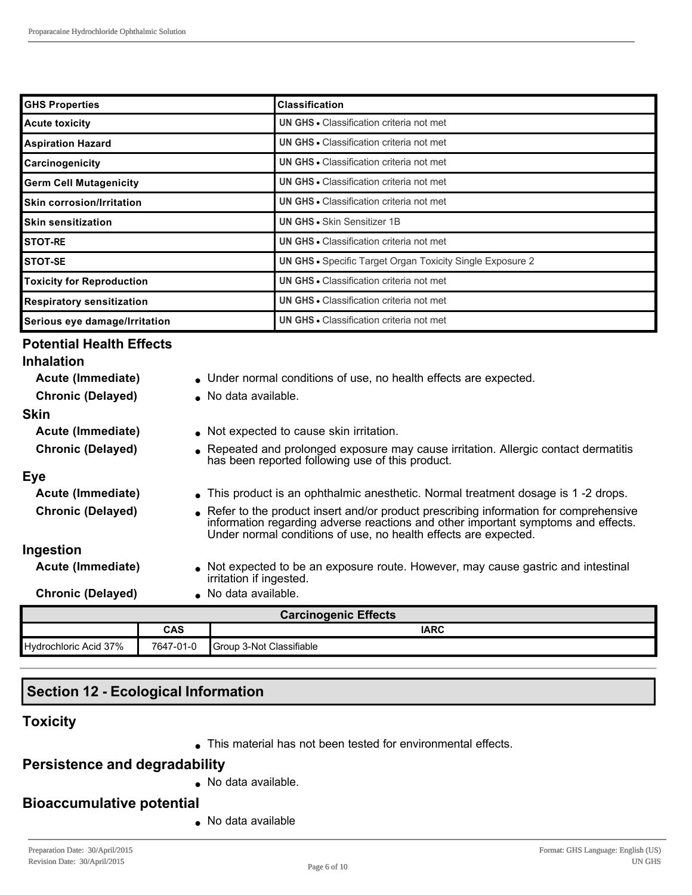| <b>GHS Properties</b>            | <b>Classification</b>                                            |
|----------------------------------|------------------------------------------------------------------|
| <b>Acute toxicity</b>            | <b>UN GHS • Classification criteria not met</b>                  |
| <b>Aspiration Hazard</b>         | <b>UN GHS • Classification criteria not met</b>                  |
| Carcinogenicity                  | <b>UN GHS • Classification criteria not met</b>                  |
| <b>Germ Cell Mutagenicity</b>    | <b>UN GHS • Classification criteria not met</b>                  |
| <b>Skin corrosion/Irritation</b> | <b>UN GHS • Classification criteria not met</b>                  |
| <b>Skin sensitization</b>        | <b>UN GHS • Skin Sensitizer 1B</b>                               |
| <b>STOT-RE</b>                   | <b>UN GHS • Classification criteria not met</b>                  |
| STOT-SE                          | <b>UN GHS •</b> Specific Target Organ Toxicity Single Exposure 2 |
| <b>Toxicity for Reproduction</b> | <b>UN GHS • Classification criteria not met</b>                  |
| <b>Respiratory sensitization</b> | <b>UN GHS • Classification criteria not met</b>                  |
| Serious eye damage/Irritation    | <b>UN GHS • Classification criteria not met</b>                  |

## **Potential Health Effects**

|                             | <b>CAS</b> | <b>IARC</b>                                                                                                                                                                                                                                    |
|-----------------------------|------------|------------------------------------------------------------------------------------------------------------------------------------------------------------------------------------------------------------------------------------------------|
| <b>Carcinogenic Effects</b> |            |                                                                                                                                                                                                                                                |
| <b>Chronic (Delayed)</b>    |            | No data available.                                                                                                                                                                                                                             |
| Acute (Immediate)           |            | • Not expected to be an exposure route. However, may cause gastric and intestinal<br>irritation if ingested.                                                                                                                                   |
| Ingestion                   |            |                                                                                                                                                                                                                                                |
| <b>Chronic (Delayed)</b>    |            | • Refer to the product insert and/or product prescribing information for comprehensive<br>information regarding adverse reactions and other important symptoms and effects.<br>Under normal conditions of use, no health effects are expected. |
| Acute (Immediate)           |            | • This product is an ophthalmic anesthetic. Normal treatment dosage is 1 -2 drops.                                                                                                                                                             |
| Eye                         |            |                                                                                                                                                                                                                                                |
| <b>Chronic (Delayed)</b>    |            | • Repeated and prolonged exposure may cause irritation. Allergic contact dermatitis<br>has been reported following use of this product.                                                                                                        |
| Acute (Immediate)           |            | • Not expected to cause skin irritation.                                                                                                                                                                                                       |
| <b>Skin</b>                 |            |                                                                                                                                                                                                                                                |
| <b>Chronic (Delayed)</b>    |            | No data available.                                                                                                                                                                                                                             |
| Acute (Immediate)           |            | • Under normal conditions of use, no health effects are expected.                                                                                                                                                                              |
| <b>Inhalation</b>           |            |                                                                                                                                                                                                                                                |
|                             |            |                                                                                                                                                                                                                                                |

# **Section 12 - Ecological Information**

Hydrochloric Acid 37% | 7647-01-0 Group 3-Not Classifiable

#### **Toxicity**

 $\bullet$  This material has not been tested for environmental effects.

#### **Persistence and degradability**

 $\bullet$  No data available.

## **Bioaccumulative potential**

 $\bullet$  No data available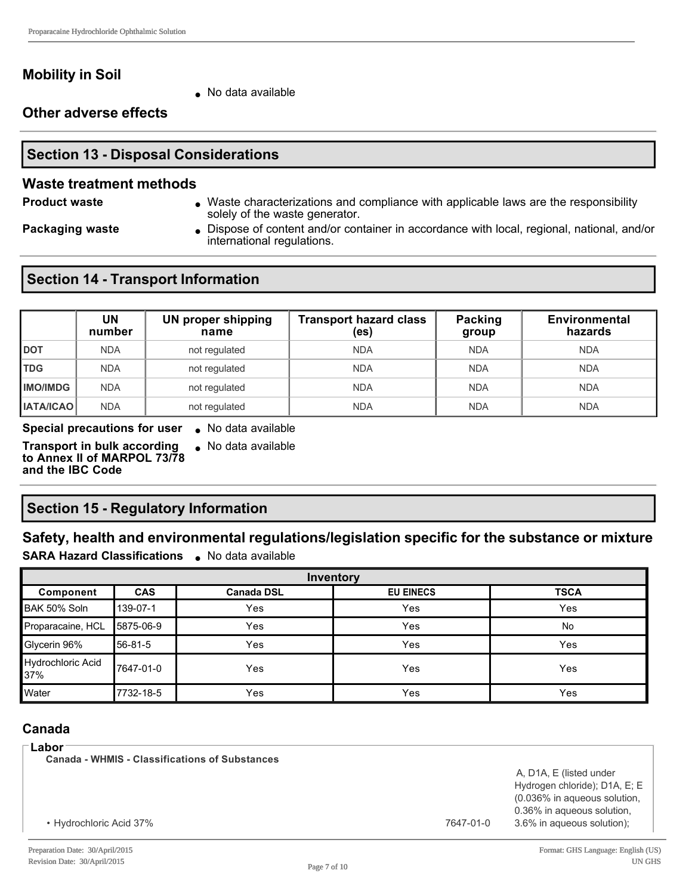## **Mobility in Soil**

• No data available

**Other adverse effects**

## **Section 13 - Disposal Considerations**

#### **Waste treatment methods**

**Product waste lace in Archaracterizations and compliance with applicable laws are the responsibility** solely of the waste generator.

**Packaging waste label Dispose of content and/or container in accordance with local, regional, national, and/or container in accordance with local, regional, national, and/or** international regulations.

## **Section 14 - Transport Information**

|                  | UN<br>number | <b>UN proper shipping</b><br>name | <b>Transport hazard class</b><br>(es) | Packing<br>group | <b>Environmental</b><br>hazards |
|------------------|--------------|-----------------------------------|---------------------------------------|------------------|---------------------------------|
| рот              | <b>NDA</b>   | not regulated                     | <b>NDA</b>                            | <b>NDA</b>       | <b>NDA</b>                      |
| <b>TDG</b>       | <b>NDA</b>   | not regulated                     | <b>NDA</b>                            | <b>NDA</b>       | <b>NDA</b>                      |
| <b>IMO/IMDG</b>  | <b>NDA</b>   | not regulated                     | <b>NDA</b>                            | <b>NDA</b>       | <b>NDA</b>                      |
| <b>IATA/ICAO</b> | <b>NDA</b>   | not regulated                     | <b>NDA</b>                            | <b>NDA</b>       | <b>NDA</b>                      |

**Special precautions for user** . No data available

**Transport in bulk according to Annex II of MARPOL 73/78 and the IBC Code**

 $\bullet$  No data available

# **Section 15 - Regulatory Information**

#### **Safety, health and environmental regulations/legislation specific for the substance or mixture SARA Hazard Classifications** . No data available

| Inventory                |            |                   |                  |             |
|--------------------------|------------|-------------------|------------------|-------------|
| Component                | <b>CAS</b> | <b>Canada DSL</b> | <b>EU EINECS</b> | <b>TSCA</b> |
| BAK 50% Soln             | 139-07-1   | Yes               | Yes              | Yes         |
| Proparacaine, HCL        | 5875-06-9  | Yes               | Yes              | No          |
| Glycerin 96%             | 56-81-5    | Yes               | Yes              | Yes         |
| Hydrochloric Acid<br>37% | 7647-01-0  | Yes               | Yes              | Yes         |
| Water                    | 7732-18-5  | Yes               | Yes              | Yes         |

## **Canada**

**Labor**

**Canada WHMIS Classifications of Substances**

A, D1A, E (listed under Hydrogen chloride); D1A, E; E (0.036% in aqueous solution, 0.36% in aqueous solution, 3.6% in aqueous solution);

• Hydrochloric Acid 37% **7647-01-0**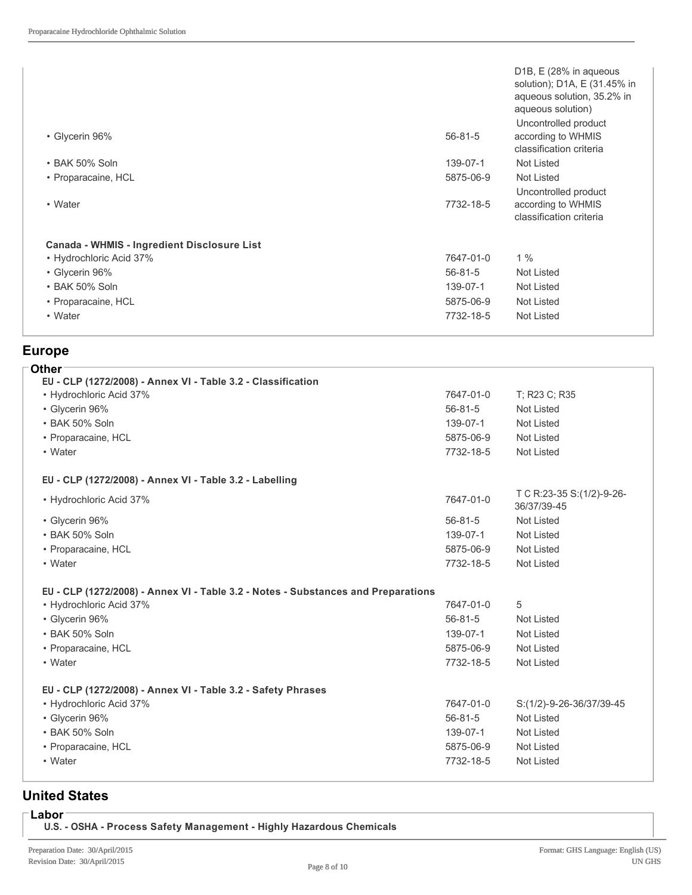| • Glycerin 96%                              | $56 - 81 - 5$ | D <sub>1</sub> B, E (28% in aqueous<br>solution); D1A, E (31.45% in<br>aqueous solution, 35.2% in<br>aqueous solution)<br>Uncontrolled product<br>according to WHMIS<br>classification criteria |
|---------------------------------------------|---------------|-------------------------------------------------------------------------------------------------------------------------------------------------------------------------------------------------|
| • BAK 50% Soln                              | 139-07-1      | Not Listed                                                                                                                                                                                      |
| • Proparacaine, HCL                         | 5875-06-9     | Not Listed                                                                                                                                                                                      |
| • Water                                     | 7732-18-5     | Uncontrolled product<br>according to WHMIS<br>classification criteria                                                                                                                           |
| Canada - WHMIS - Ingredient Disclosure List |               |                                                                                                                                                                                                 |
| • Hydrochloric Acid 37%                     | 7647-01-0     | $1\%$                                                                                                                                                                                           |
| • Glycerin 96%                              | $56 - 81 - 5$ | Not Listed                                                                                                                                                                                      |
| • BAK 50% Soln                              | 139-07-1      | Not Listed                                                                                                                                                                                      |
| • Proparacaine, HCL                         | 5875-06-9     | Not Listed                                                                                                                                                                                      |
| • Water                                     | 7732-18-5     | Not Listed                                                                                                                                                                                      |
|                                             |               |                                                                                                                                                                                                 |

## **Europe**

| <b>Other</b><br>EU - CLP (1272/2008) - Annex VI - Table 3.2 - Classification      |               |                                          |
|-----------------------------------------------------------------------------------|---------------|------------------------------------------|
| • Hydrochloric Acid 37%                                                           | 7647-01-0     | T; R23 C; R35                            |
| • Glycerin 96%                                                                    | $56 - 81 - 5$ | <b>Not Listed</b>                        |
| • BAK 50% Soln                                                                    | 139-07-1      | Not Listed                               |
| • Proparacaine, HCL                                                               | 5875-06-9     | <b>Not Listed</b>                        |
| • Water                                                                           | 7732-18-5     | Not Listed                               |
| EU - CLP (1272/2008) - Annex VI - Table 3.2 - Labelling                           |               |                                          |
| • Hydrochloric Acid 37%                                                           | 7647-01-0     | T C R:23-35 S:(1/2)-9-26-<br>36/37/39-45 |
| • Glycerin 96%                                                                    | $56 - 81 - 5$ | <b>Not Listed</b>                        |
| • BAK 50% Soln                                                                    | 139-07-1      | <b>Not Listed</b>                        |
| • Proparacaine, HCL                                                               | 5875-06-9     | <b>Not Listed</b>                        |
| • Water                                                                           | 7732-18-5     | <b>Not Listed</b>                        |
| EU - CLP (1272/2008) - Annex VI - Table 3.2 - Notes - Substances and Preparations |               |                                          |
| • Hydrochloric Acid 37%                                                           | 7647-01-0     | 5                                        |
| • Glycerin 96%                                                                    | $56 - 81 - 5$ | <b>Not Listed</b>                        |
| • BAK 50% Soln                                                                    | 139-07-1      | <b>Not Listed</b>                        |
| • Proparacaine, HCL                                                               | 5875-06-9     | <b>Not Listed</b>                        |
| • Water                                                                           | 7732-18-5     | <b>Not Listed</b>                        |
| EU - CLP (1272/2008) - Annex VI - Table 3.2 - Safety Phrases                      |               |                                          |
| • Hydrochloric Acid 37%                                                           | 7647-01-0     | S:(1/2)-9-26-36/37/39-45                 |
| • Glycerin 96%                                                                    | $56 - 81 - 5$ | <b>Not Listed</b>                        |
| • BAK 50% Soln                                                                    | 139-07-1      | Not Listed                               |
| • Proparacaine, HCL                                                               | 5875-06-9     | <b>Not Listed</b>                        |
| • Water                                                                           | 7732-18-5     | <b>Not Listed</b>                        |
|                                                                                   |               |                                          |

## **United States**

**Labor**

**U.S. OSHA Process Safety Management Highly Hazardous Chemicals**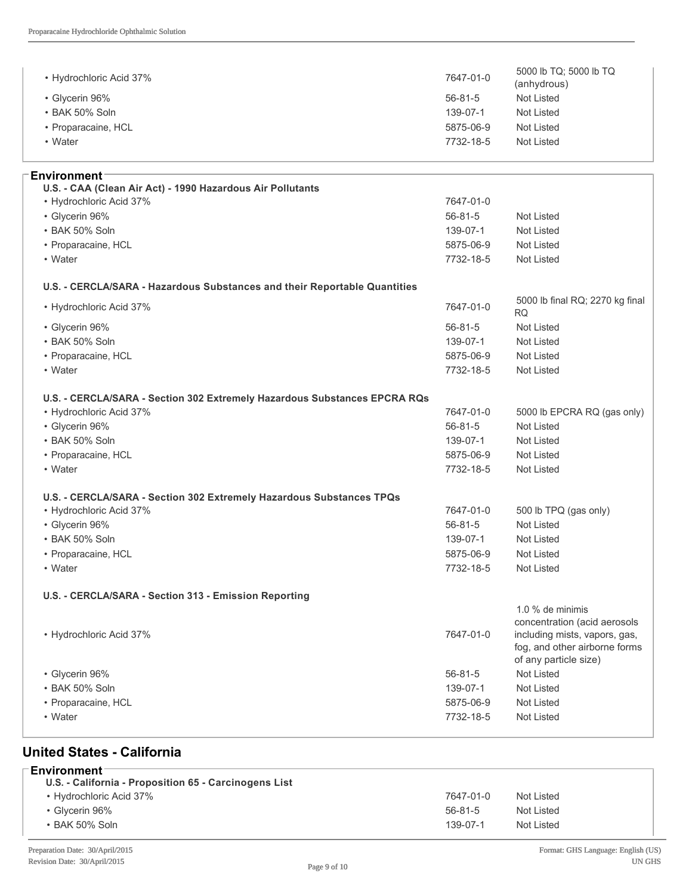| • Hydrochloric Acid 37%                                                   | 7647-01-0     | 5000 lb TQ; 5000 lb TQ<br>(anhydrous) |
|---------------------------------------------------------------------------|---------------|---------------------------------------|
| • Glycerin 96%                                                            | $56 - 81 - 5$ | Not Listed                            |
| • BAK 50% Soln                                                            | 139-07-1      | Not Listed                            |
| • Proparacaine, HCL                                                       | 5875-06-9     | Not Listed                            |
| • Water                                                                   | 7732-18-5     | Not Listed                            |
|                                                                           |               |                                       |
| Environment∶                                                              |               |                                       |
| U.S. - CAA (Clean Air Act) - 1990 Hazardous Air Pollutants                |               |                                       |
| • Hydrochloric Acid 37%                                                   | 7647-01-0     |                                       |
| • Glycerin 96%                                                            | $56 - 81 - 5$ | Not Listed                            |
| • BAK 50% Soln                                                            | 139-07-1      | Not Listed                            |
| • Proparacaine, HCL                                                       | 5875-06-9     | Not Listed                            |
| • Water                                                                   | 7732-18-5     | Not Listed                            |
|                                                                           |               |                                       |
| U.S. - CERCLA/SARA - Hazardous Substances and their Reportable Quantities |               | 5000 lb final RQ; 2270 kg final       |
| • Hydrochloric Acid 37%                                                   | 7647-01-0     | RQ                                    |
| • Glycerin 96%                                                            | $56 - 81 - 5$ | <b>Not Listed</b>                     |
| • BAK 50% Soln                                                            | 139-07-1      | Not Listed                            |
| • Proparacaine, HCL                                                       | 5875-06-9     | Not Listed                            |
| • Water                                                                   | 7732-18-5     | Not Listed                            |
|                                                                           |               |                                       |
| U.S. - CERCLA/SARA - Section 302 Extremely Hazardous Substances EPCRA RQs |               |                                       |
| • Hydrochloric Acid 37%                                                   | 7647-01-0     | 5000 lb EPCRA RQ (gas only)           |
| • Glycerin 96%                                                            | $56 - 81 - 5$ | <b>Not Listed</b>                     |
| • BAK 50% Soln                                                            | 139-07-1      | Not Listed                            |
| • Proparacaine, HCL                                                       | 5875-06-9     | Not Listed                            |
| • Water                                                                   | 7732-18-5     | Not Listed                            |
| U.S. - CERCLA/SARA - Section 302 Extremely Hazardous Substances TPQs      |               |                                       |
| • Hydrochloric Acid 37%                                                   | 7647-01-0     | 500 lb TPQ (gas only)                 |
| • Glycerin 96%                                                            | $56 - 81 - 5$ | Not Listed                            |
| • BAK 50% Soln                                                            | 139-07-1      | <b>Not Listed</b>                     |
| • Proparacaine, HCL                                                       | 5875-06-9     | Not Listed                            |
| • Water                                                                   | 7732-18-5     | Not Listed                            |
|                                                                           |               |                                       |
| U.S. - CERCLA/SARA - Section 313 - Emission Reporting                     |               |                                       |
|                                                                           |               | 1.0 % de minimis                      |
|                                                                           |               | concentration (acid aerosols          |
| • Hydrochloric Acid 37%                                                   | 7647-01-0     | including mists, vapors, gas,         |
|                                                                           |               | fog, and other airborne forms         |
|                                                                           |               | of any particle size)                 |
| • Glycerin 96%                                                            | $56 - 81 - 5$ | Not Listed                            |
| · BAK 50% Soln                                                            | 139-07-1      | Not Listed                            |
| • Proparacaine, HCL                                                       | 5875-06-9     | Not Listed                            |
| • Water                                                                   | 7732-18-5     | Not Listed                            |

## **United States California**

| 7647-01-0      | Not Listed |
|----------------|------------|
| $56 - 81 - 5$  | Not Listed |
| $139 - 07 - 1$ | Not Listed |
|                |            |